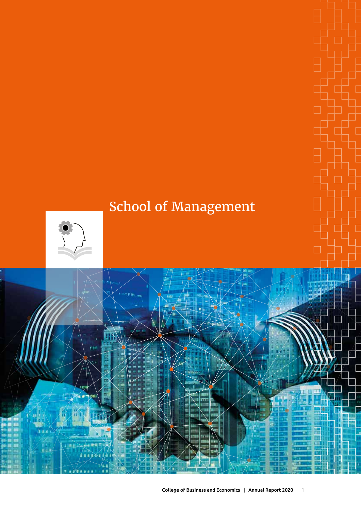# School of Management



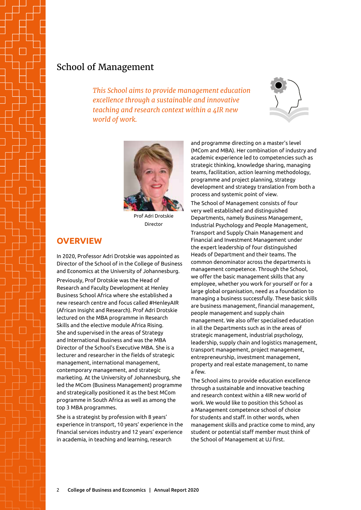# School of Management

*This School aims to provide management education excellence through a sustainable and innovative teaching and research context within a 4IR new world of work.*





Prof Adri Drotskie Director

# **OVERVIEW**

In 2020, Professor Adri Drotskie was appointed as Director of the School of in the College of Business and Economics at the University of Johannesburg. Previously, Prof Drotskie was the Head of Research and Faculty Development at Henley Business School Africa where she established a new research centre and focus called #HenleyAIR (African Insight and Research). Prof Adri Drotskie lectured on the MBA programme in Research Skills and the elective module Africa Rising. She and supervised in the areas of Strategy and International Business and was the MBA Director of the School's Executive MBA. She is a lecturer and researcher in the fields of strategic management, international management, contemporary management, and strategic marketing. At the University of Johannesburg, she led the MCom (Business Management) programme and strategically positioned it as the best MCom programme in South Africa as well as among the top 3 MBA programmes.

She is a strategist by profession with 8 years' experience in transport, 10 years' experience in the financial services industry and 12 years' experience in academia, in teaching and learning, research

and programme directing on a master's level (MCom and MBA). Her combination of industry and academic experience led to competencies such as strategic thinking, knowledge sharing, managing teams, facilitation, action learning methodology, programme and project planning, strategy development and strategy translation from both a process and systemic point of view.

The School of Management consists of four very well established and distinguished Departments, namely Business Management, Industrial Psychology and People Management, Transport and Supply Chain Management and Financial and Investment Management under the expert leadership of four distinguished Heads of Department and their teams. The common denominator across the departments is management competence. Through the School, we offer the basic management skills that any employee, whether you work for yourself or for a large global organisation, need as a foundation to managing a business successfully. These basic skills are business management, financial management, people management and supply chain management. We also offer specialised education in all the Departments such as in the areas of strategic management, industrial psychology, leadership, supply chain and logistics management, transport management, project management, entrepreneurship, investment management, property and real estate management, to name a few.

The School aims to provide education excellence through a sustainable and innovative teaching and research context within a 4IR new world of work. We would like to position this School as a Management competence school of choice for students and staff. In other words, when management skills and practice come to mind, any student or potential staff member must think of the School of Management at UJ first.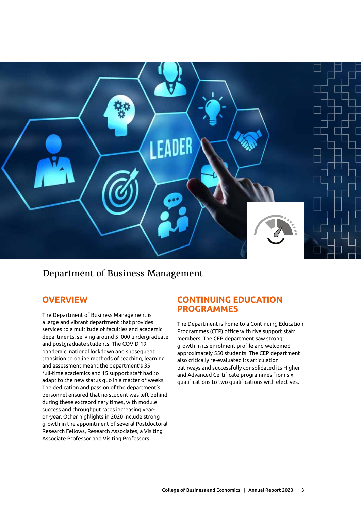

Department of Business Management

# **Overview**

The Department of Business Management is a large and vibrant department that provides services to a multitude of faculties and academic departments, serving around 5 ,000 undergraduate and postgraduate students. The COVID-19 pandemic, national lockdown and subsequent transition to online methods of teaching, learning and assessment meant the department's 35 full-time academics and 15 support staff had to adapt to the new status quo in a matter of weeks. The dedication and passion of the department's personnel ensured that no student was left behind during these extraordinary times, with module success and throughput rates increasing yearon-year. Other highlights in 2020 include strong growth in the appointment of several Postdoctoral Research Fellows, Research Associates, a Visiting Associate Professor and Visiting Professors.

# **Continuing Education Programmes**

The Department is home to a Continuing Education Programmes (CEP) office with five support staff members. The CEP department saw strong growth in its enrolment profile and welcomed approximately 550 students. The CEP department also critically re-evaluated its articulation pathways and successfully consolidated its Higher and Advanced Certificate programmes from six qualifications to two qualifications with electives.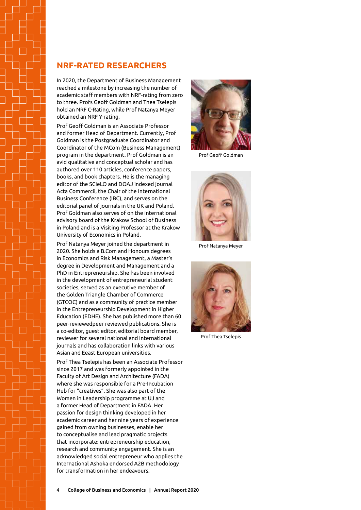## **NRF-rated researchers**

In 2020, the Department of Business Management reached a milestone by increasing the number of academic staff members with NRF-rating from zero to three. Profs Geoff Goldman and Thea Tselepis hold an NRF C-Rating, while Prof Natanya Meyer obtained an NRF Y-rating.

Prof Geoff Goldman is an Associate Professor and former Head of Department. Currently, Prof Goldman is the Postgraduate Coordinator and Coordinator of the MCom (Business Management) program in the department. Prof Goldman is an avid qualitative and conceptual scholar and has authored over 110 articles, conference papers, books, and book chapters. He is the managing editor of the SCieLO and DOAJ indexed journal Acta Commercii, the Chair of the International Business Conference (IBC), and serves on the editorial panel of journals in the UK and Poland. Prof Goldman also serves of on the international advisory board of the Krakow School of Business in Poland and is a Visiting Professor at the Krakow University of Economics in Poland.

Prof Natanya Meyer joined the department in 2020. She holds a B.Com and Honours degrees in Economics and Risk Management, a Master's degree in Development and Management and a PhD in Entrepreneurship. She has been involved in the development of entrepreneurial student societies, served as an executive member of the Golden Triangle Chamber of Commerce (GTCOC) and as a community of practice member in the Entrepreneurship Development in Higher Education (EDHE). She has published more than 60 peer-reviewedpeer reviewed publications. She is a co-editor, guest editor, editorial board member, reviewer for several national and international journals and has collaboration links with various Asian and Eeast European universities.

Prof Thea Tselepis has been an Associate Professor since 2017 and was formerly appointed in the Faculty of Art Design and Architecture (FADA) where she was responsible for a Pre-Incubation Hub for "creatives". She was also part of the Women in Leadership programme at UJ and a former Head of Department in FADA. Her passion for design thinking developed in her academic career and her nine years of experience gained from owning businesses, enable her to conceptualise and lead pragmatic projects that incorporate: entrepreneurship education, research and community engagement. She is an acknowledged social entrepreneur who applies the International Ashoka endorsed A2B methodology for transformation in her endeavours.



Prof Geoff Goldman



Prof Natanya Meyer



Prof Thea Tselepis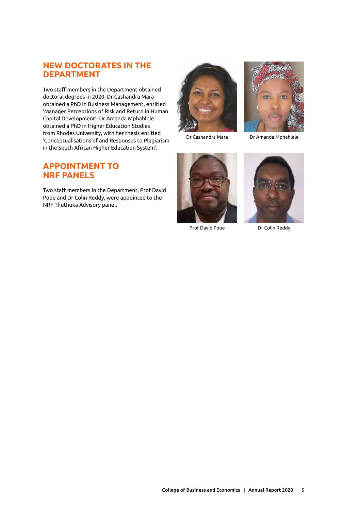# **New doctorates in the department**

Two staff members in the Department obtained doctoral degrees in 2020. Dr Cashandra Mara obtained a PhD in Business Management, entitled 'Manager Perceptions of Risk and Return in Human Capital Development'. Dr Amanda Mphahlele obtained a PhD in Higher Education Studies from Rhodes University, with her thesis entitled 'Conceptualisations of and Responses to Plagiarism in the South African Higher Education System'.





Dr Cashandra Mara

Dr Amanda Mphahlele

# **Appointment to NRF panels**

Two staff members in the Department, Prof David Pooe and Dr Colin Reddy, were appointed to the NRF Thuthuka Advisory panel.



Prof David Pooe



Dr Colin Reddy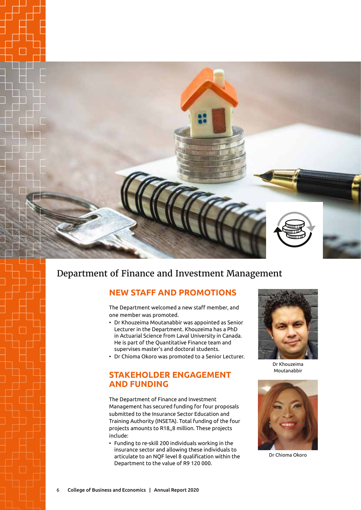

# Department of Finance and Investment Management

# **New staff and promotions**

The Department welcomed a new staff member, and one member was promoted.

- Dr Khouzeima Moutanabbir was appointed as Senior Lecturer in the Department. Khouzeima has a PhD in Actuarial Science from Laval University in Canada. He is part of the Quantitative Finance team and supervises master's and doctoral students.
- Dr Chioma Okoro was promoted to a Senior Lecturer.

### **Stakeholder engagement and funding**

The Department of Finance and Investment Management has secured funding for four proposals submitted to the Insurance Sector Education and Training Authority (INSETA). Total funding of the four projects amounts to R18,,8 million. These projects include:

• Funding to re-skill 200 individuals working in the insurance sector and allowing these individuals to articulate to an NQF level 8 qualification within the Department to the value of R9 120 000.



Dr Khouzeima Moutanabbir



Dr Chioma Okoro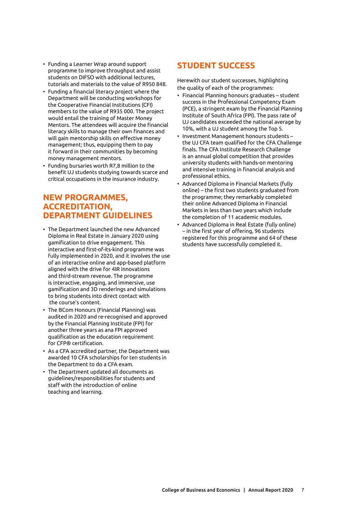- Funding a Learner Wrap around support programme to improve throughput and assist students on DIFSO with additional lectures, tutorials and materials to the value of R950 848.
- Funding a financial literacy project where the Department will be conducting workshops for the Cooperative Financial Institutions (CFI) members to the value of R935 000. The project would entail the training of Master Money Mentors. The attendees will acquire the financial literacy skills to manage their own finances and will gain mentorship skills on effective money management; thus, equipping them to pay it forward in their communities by becoming money management mentors.
- Funding bursaries worth R7,8 million to the benefit UJ students studying towards scarce and critical occupations in the insurance industry.

# **New programmes, accreditation, department guidelines**

- The Department launched the new Advanced Diploma in Real Estate in January 2020 using gamification to drive engagement. This interactive and first-of-its-kind programme was fully implemented in 2020, and it involves the use of an interactive online and app-based platform aligned with the drive for 4IR innovations and third-stream revenue. The programme is interactive, engaging, and immersive, use gamification and 3D renderings and simulations to bring students into direct contact with the course's content.
- The BCom Honours (Financial Planning) was audited in 2020 and re-recognised and approved by the Financial Planning Institute (FPI) for another three years as ana FPI approved qualification as the education requirement for CFP® certification.
- As a CFA accredited partner, the Department was awarded 10 CFA scholarships for ten students in the Department to do a CFA exam.
- The Department updated all documents as guidelines/responsibilities for students and staff with the introduction of online teaching and learning.

# **Student success**

Herewith our student successes, highlighting the quality of each of the programmes:

- Financial Planning honours graduates student success in the Professional Competency Exam (PCE), a stringent exam by the Financial Planning Institute of South Africa (FPI). The pass rate of UJ candidates exceeded the national average by 10%, with a UJ student among the Top 5.
- Investment Management honours students the UJ CFA team qualified for the CFA Challenge finals. The CFA Institute Research Challenge is an annual global competition that provides university students with hands-on mentoring and intensive training in financial analysis and professional ethics.
- Advanced Diploma in Financial Markets (fully online) – the first two students graduated from the programme; they remarkably completed their online Advanced Diploma in Financial Markets in less than two years which include the completion of 11 academic modules.
- Advanced Diploma in Real Estate (fully online) – in the first year of offering, 96 students registered for this programme and 64 of these students have successfully completed it.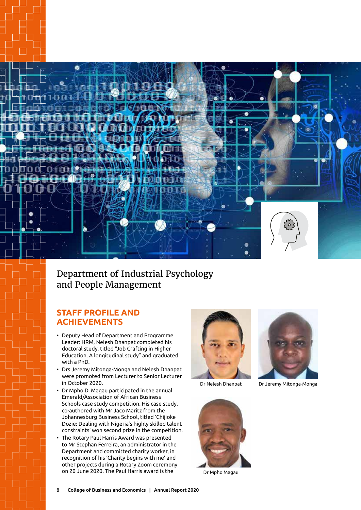

# Department of Industrial Psychology and People Management

# **STAFF PROFILE and ACHIEVEMENTS**

- Deputy Head of Department and Programme Leader: HRM, Nelesh Dhanpat completed his doctoral study, titled "Job Crafting in Higher Education. A longitudinal study" and graduated with a PhD.
- Drs Jeremy Mitonga-Monga and Nelesh Dhanpat were promoted from Lecturer to Senior Lecturer in October 2020.
- Dr Mpho D. Magau participated in the annual Emerald/Association of African Business Schools case study competition. His case study, co-authored with Mr Jaco Maritz from the Johannesburg Business School, titled 'Chijioke Dozie: Dealing with Nigeria's highly skilled talent constraints' won second prize in the competition.
- The Rotary Paul Harris Award was presented to Mr Stephan Ferreira, an administrator in the Department and committed charity worker, in recognition of his 'Charity begins with me' and other projects during a Rotary Zoom ceremony on 20 June 2020. The Paul Harris award is the Dr Mpho Magau





Dr Nelesh Dhanpat Dr Jeremy Mitonga-Monga

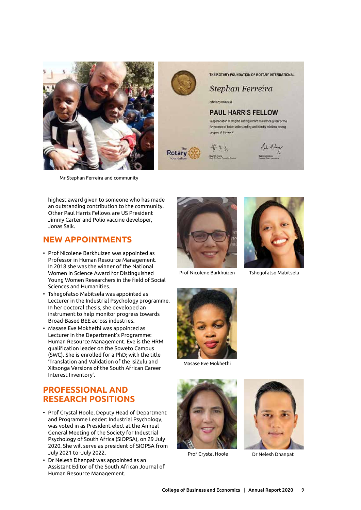



THE ROTARY FOUNDATION OF ROTARY INTERNATIONAL

Stephan Ferreira

is hereby named a

#### **PAUL HARRIS FELLOW**

in appreciation of tangible and significant assistance given for the furtherance of better understanding and friendly relations among peoples of the world.







Mr Stephan Ferreira and community

highest award given to someone who has made an outstanding contribution to the community. Other Paul Harris Fellows are US President Jimmy Carter and Polio vaccine developer, Jonas Salk.

# **New Appointments**

- Prof Nicolene Barkhuizen was appointed as Professor in Human Resource Management. In 2018 she was the winner of the National Women in Science Award for Distinguished Young Women Researchers in the field of Social Sciences and Humanities.
- Tshegofatso Mabitsela was appointed as Lecturer in the Industrial Psychology programme. In her doctoral thesis, she developed an instrument to help monitor progress towards Broad-Based BEE across industries.
- Masase Eve Mokhethi was appointed as Lecturer in the Department's Programme: Human Resource Management. Eve is the HRM qualification leader on the Soweto Campus (SWC). She is enrolled for a PhD; with the title 'Translation and Validation of the isiZulu and Xitsonga Versions of the South African Career Interest Inventory'.

# **Professional and research positions**

- Prof Crystal Hoole, Deputy Head of Department and Programme Leader: Industrial Psychology, was voted in as President-elect at the Annual General Meeting of the Society for Industrial Psychology of South Africa (SIOPSA), on 29 July 2020. She will serve as president of SIOPSA from July 2021 to -July 2022.
- Dr Nelesh Dhanpat was appointed as an Assistant Editor of the South African Journal of Human Resource Management.



Prof Nicolene Barkhuizen



Tshegofatso Mabitsela



Masase Eve Mokhethi





Prof Crystal Hoole Dr Nelesh Dhanpat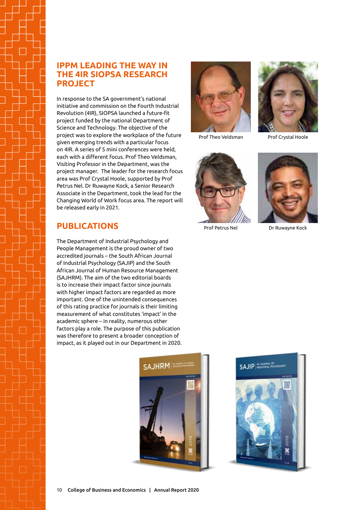# **IPPM leading the way in the 4IR SIOPSA research project**

In response to the SA government's national initiative and commission on the Fourth Industrial Revolution (4IR), SIOPSA launched a future-fit project funded by the national Department of Science and Technology. The objective of the project was to explore the workplace of the future given emerging trends with a particular focus on 4IR. A series of 5 mini conferences were held, each with a different focus. Prof Theo Veldsman, Visiting Professor in the Department, was the project manager. The leader for the research focus area was Prof Crystal Hoole, supported by Prof Petrus Nel. Dr Ruwayne Kock, a Senior Research Associate in the Department, took the lead for the Changing World of Work focus area. The report will be released early in 2021.

# **Publications**

The Department of Industrial Psychology and People Management is the proud owner of two accredited journals – the South African Journal of Industrial Psychology (SAJIP) and the South African Journal of Human Resource Management (SAJHRM). The aim of the two editorial boards is to increase their impact factor since journals with higher impact factors are regarded as more important. One of the unintended consequences of this rating practice for journals is their limiting measurement of what constitutes 'impact' in the academic sphere – in reality, numerous other factors play a role. The purpose of this publication was therefore to present a broader conception of impact, as it played out in our Department in 2020.







Prof Theo Veldsman

Prof Crystal Hoole



Prof Petrus Nel



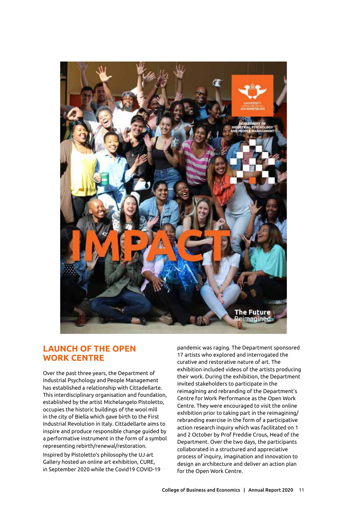

## **Launch of the Open Work Centre**

Over the past three years, the Department of Industrial Psychology and People Management has established a relationship with Cittadellarte. This interdisciplinary organisation and foundation, established by the artist Michelangelo Pistoletto, occupies the historic buildings of the wool mill in the city of Biella which gave birth to the First Industrial Revolution in Italy. Cittadellarte aims to inspire and produce responsible change guided by a performative instrument in the form of a symbol representing rebirth/renewal/restoration.

Inspired by Pistoletto's philosophy the UJ art Gallery hosted an online art exhibition, CURE, in September 2020 while the Covid19 COVID-19 pandemic was raging. The Department sponsored 17 artists who explored and interrogated the curative and restorative nature of art. The exhibition included videos of the artists producing their work. During the exhibition, the Department invited stakeholders to participate in the reimagining and rebranding of the Department's Centre for Work Performance as the Open Work Centre. They were encouraged to visit the online exhibition prior to taking part in the reimagining/ rebranding exercise in the form of a participative action research inquiry which was facilitated on 1 and 2 October by Prof Freddie Crous, Head of the Department. Over the two days, the participants collaborated in a structured and appreciative process of inquiry, imagination and innovation to design an architecture and deliver an action plan for the Open Work Centre.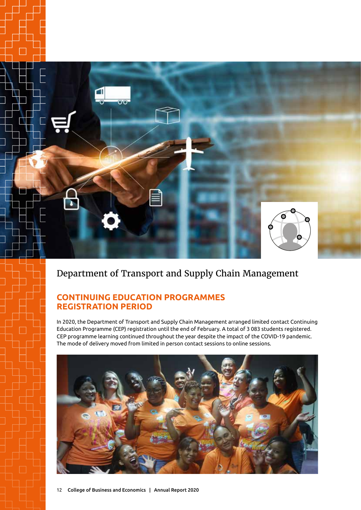

# Department of Transport and Supply Chain Management

# **Continuing EdUcation Programmes Registration Period**

In 2020, the Department of Transport and Supply Chain Management arranged limited contact Continuing Education Programme (CEP) registration until the end of February. A total of 3 083 students registered. CEP programme learning continued throughout the year despite the impact of the COVID-19 pandemic. The mode of delivery moved from limited in person contact sessions to online sessions.

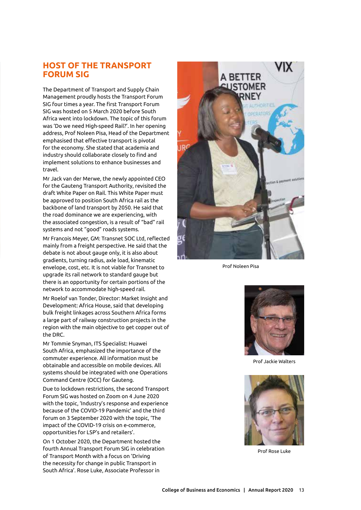# **host of the Transport Forum SIG**

The Department of Transport and Supply Chain Management proudly hosts the Transport Forum SIG four times a year. The first Transport Forum SIG was hosted on 5 March 2020 before South Africa went into lockdown. The topic of this forum was 'Do we need High-speed Rail?'. In her opening address, Prof Noleen Pisa, Head of the Department emphasised that effective transport is pivotal for the economy. She stated that academia and industry should collaborate closely to find and implement solutions to enhance businesses and travel.

Mr Jack van der Merwe, the newly appointed CEO for the Gauteng Transport Authority, revisited the draft White Paper on Rail. This White Paper must be approved to position South Africa rail as the backbone of land transport by 2050. He said that the road dominance we are experiencing, with the associated congestion, is a result of "bad" rail systems and not "good" roads systems.

Mr Francois Meyer, GM: Transnet SOC Ltd, reflected mainly from a freight perspective. He said that the debate is not about gauge only, it is also about gradients, turning radius, axle load, kinematic envelope, cost, etc. It is not viable for Transnet to upgrade its rail network to standard gauge but there is an opportunity for certain portions of the network to accommodate high-speed rail.

Mr Roelof van Tonder, Director: Market Insight and Development: Africa House, said that developing bulk freight linkages across Southern Africa forms a large part of railway construction projects in the region with the main objective to get copper out of the DRC.

Mr Tommie Snyman, ITS Specialist: Huawei South Africa, emphasized the importance of the commuter experience. All information must be obtainable and accessible on mobile devices. All systems should be integrated with one Operations Command Centre (OCC) for Gauteng.

Due to lockdown restrictions, the second Transport Forum SIG was hosted on Zoom on 4 June 2020 with the topic, 'Industry's response and experience because of the COVID-19 Pandemic' and the third forum on 3 September 2020 with the topic, 'The impact of the COVID-19 crisis on e-commerce, opportunities for LSP's and retailers'.

On 1 October 2020, the Department hosted the fourth Annual Transport Forum SIG in celebration of Transport Month with a focus on 'Driving the necessity for change in public Transport in South Africa'. Rose Luke, Associate Professor in



Prof Noleen Pisa



Prof Jackie Walters



Prof Rose Luke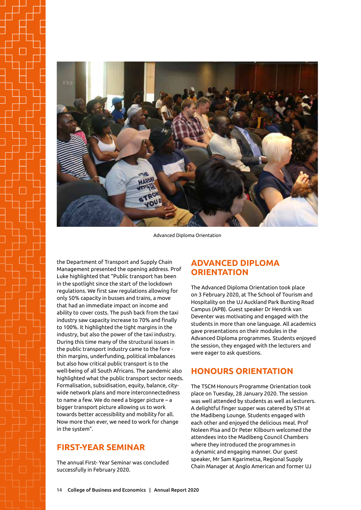

Advanced Diploma Orientation

the Department of Transport and Supply Chain Management presented the opening address. Prof Luke highlighted that "Public transport has been in the spotlight since the start of the lockdown regulations. We first saw regulations allowing for only 50% capacity in busses and trains, a move that had an immediate impact on income and ability to cover costs. The push back from the taxi industry saw capacity increase to 70% and finally to 100%. It highlighted the tight margins in the industry, but also the power of the taxi industry. During this time many of the structural issues in the public transport industry came to the fore thin margins, underfunding, political imbalances but also how critical public transport is to the well-being of all South Africans. The pandemic also highlighted what the public transport sector needs. Formalisation, subsidisation, equity, balance, citywide network plans and more interconnectedness to name a few. We do need a bigger picture – a bigger transport picture allowing us to work towards better accessibility and mobility for all. Now more than ever, we need to work for change in the system".

# **First-Year Seminar**

The annual First- Year Seminar was concluded successfully in February 2020.

## **Advanced Diploma Orientation**

The Advanced Diploma Orientation took place on 3 February 2020, at The School of Tourism and Hospitality on the UJ Auckland Park Bunting Road Campus (APB). Guest speaker Dr Hendrik van Deventer was motivating and engaged with the students in more than one language. All academics gave presentations on their modules in the Advanced Diploma programmes. Students enjoyed the session, they engaged with the lecturers and were eager to ask questions.

# **Honours Orientation**

The TSCM Honours Programme Orientation took place on Tuesday, 28 January 2020. The session was well attended by students as well as lecturers. A delightful finger supper was catered by STH at the Madibeng Lounge. Students engaged with each other and enjoyed the delicious meal. Prof Noleen Pisa and Dr Peter Kilbourn welcomed the attendees into the Madibeng Council Chambers where they introduced the programmes in a dynamic and engaging manner. Our guest speaker, Mr Sam Kgarimetsa, Regional Supply Chain Manager at Anglo American and former UJ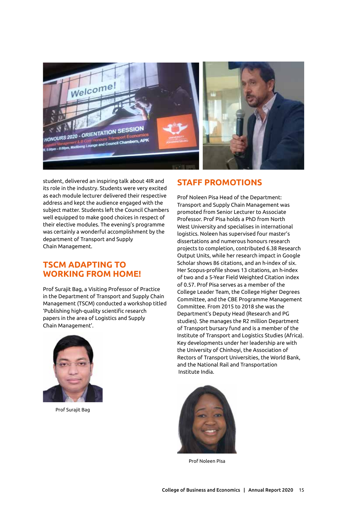

student, delivered an inspiring talk about 4IR and its role in the industry. Students were very excited as each module lecturer delivered their respective address and kept the audience engaged with the subject matter. Students left the Council Chambers well equipped to make good choices in respect of their elective modules. The evening's programme was certainly a wonderful accomplishment by the department of Transport and Supply Chain Management.

## **TSCM adapting to working from home!**

Prof Surajit Bag, a Visiting Professor of Practice in the Department of Transport and Supply Chain Management (TSCM) conducted a workshop titled 'Publishing high-quality scientific research papers in the area of Logistics and Supply Chain Management'.



Prof Surajit Bag

#### **Staff Promotions**

Prof Noleen Pisa Head of the Department: Transport and Supply Chain Management was promoted from Senior Lecturer to Associate Professor. Prof Pisa holds a PhD from North West University and specialises in international logistics. Noleen has supervised four master's dissertations and numerous honours research projects to completion, contributed 6.38 Research Output Units, while her research impact in Google Scholar shows 86 citations, and an h-index of six. Her Scopus-profile shows 13 citations, an h-index of two and a 5-Year Field Weighted Citation index of 0.57. Prof Pisa serves as a member of the College Leader Team, the College Higher Degrees Committee, and the CBE Programme Management Committee. From 2015 to 2018 she was the Department's Deputy Head (Research and PG studies). She manages the R2 million Department of Transport bursary fund and is a member of the Institute of Transport and Logistics Studies (Africa). Key developments under her leadership are with the University of Chinhoyi, the Association of Rectors of Transport Universities, the World Bank, and the National Rail and Transportation Institute India.



Prof Noleen Pisa